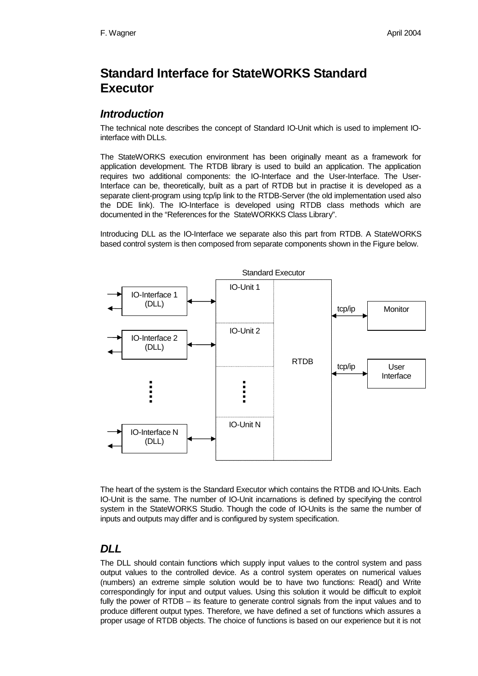# **Standard Interface for StateWORKS Standard Executor**

#### *Introduction*

The technical note describes the concept of Standard IO-Unit which is used to implement IOinterface with DLLs.

The StateWORKS execution environment has been originally meant as a framework for application development. The RTDB library is used to build an application. The application requires two additional components: the IO-Interface and the User-Interface. The User-Interface can be, theoretically, built as a part of RTDB but in practise it is developed as a separate client-program using tcp/ip link to the RTDB-Server (the old implementation used also the DDE link). The IO-Interface is developed using RTDB class methods which are documented in the "References for the StateWORKKS Class Library".

Introducing DLL as the IO-Interface we separate also this part from RTDB. A StateWORKS based control system is then composed from separate components shown in the Figure below.



The heart of the system is the Standard Executor which contains the RTDB and IO-Units. Each IO-Unit is the same. The number of IO-Unit incarnations is defined by specifying the control system in the StateWORKS Studio. Though the code of IO-Units is the same the number of inputs and outputs may differ and is configured by system specification.

### *DLL*

The DLL should contain functions which supply input values to the control system and pass output values to the controlled device. As a control system operates on numerical values (numbers) an extreme simple solution would be to have two functions: Read() and Write correspondingly for input and output values. Using this solution it would be difficult to exploit fully the power of RTDB – its feature to generate control signals from the input values and to produce different output types. Therefore, we have defined a set of functions which assures a proper usage of RTDB objects. The choice of functions is based on our experience but it is not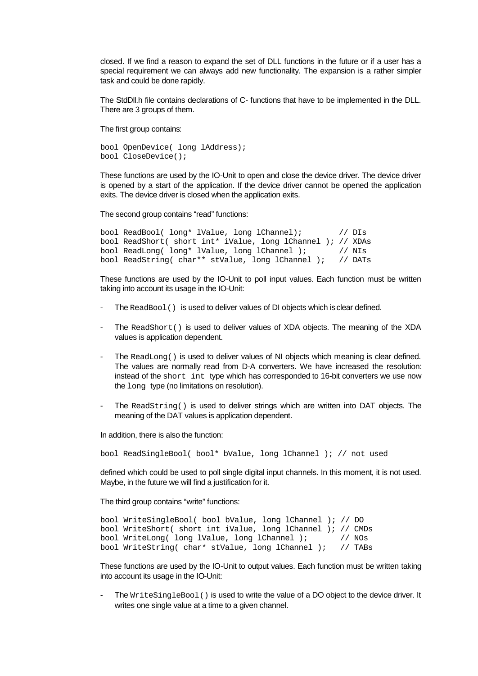closed. If we find a reason to expand the set of DLL functions in the future or if a user has a special requirement we can always add new functionality. The expansion is a rather simpler task and could be done rapidly.

The StdDll.h file contains declarations of C- functions that have to be implemented in the DLL. There are 3 groups of them.

The first group contains:

bool OpenDevice( long lAddress); bool CloseDevice();

These functions are used by the IO-Unit to open and close the device driver. The device driver is opened by a start of the application. If the device driver cannot be opened the application exits. The device driver is closed when the application exits.

The second group contains "read" functions:

```
bool ReadBool( long* lValue, long lChannel); // DIs
bool ReadShort( short int* iValue, long lChannel ); // XDAs<br>bool ReadLong( long* lValue, long lChannel ); // NIs
bool ReadLong( long* lValue, long lChannel );
bool ReadString( char** stValue, long lChannel ); // DATs
```
These functions are used by the IO-Unit to poll input values. Each function must be written taking into account its usage in the IO-Unit:

- The ReadBool() is used to deliver values of DI objects which is clear defined.
- The ReadShort() is used to deliver values of XDA objects. The meaning of the XDA values is application dependent.
- The ReadLong() is used to deliver values of NI objects which meaning is clear defined. The values are normally read from D-A converters. We have increased the resolution: instead of the short int type which has corresponded to 16-bit converters we use now the long type (no limitations on resolution).
- The ReadString() is used to deliver strings which are written into DAT objects. The meaning of the DAT values is application dependent.

In addition, there is also the function:

bool ReadSingleBool( bool\* bValue, long lChannel ); // not used

defined which could be used to poll single digital input channels. In this moment, it is not used. Maybe, in the future we will find a justification for it.

The third group contains "write" functions:

```
bool WriteSingleBool( bool bValue, long lChannel ); // DO
bool WriteShort( short int iValue, long lChannel ); // CMDs
bool WriteLong( long lValue, long lChannel ); // NOs
bool WriteString( char* stValue, long lChannel ); // TABs
```
These functions are used by the IO-Unit to output values. Each function must be written taking into account its usage in the IO-Unit:

The WriteSingleBool() is used to write the value of a DO object to the device driver. It writes one single value at a time to a given channel.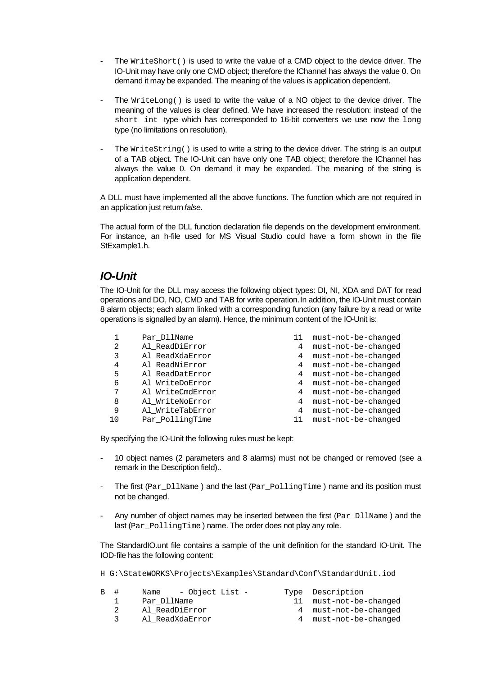- The  $WriteShort()$  is used to write the value of a CMD object to the device driver. The IO-Unit may have only one CMD object; therefore the lChannel has always the value 0. On demand it may be expanded. The meaning of the values is application dependent.
- The  $Writelong()$  is used to write the value of a NO object to the device driver. The meaning of the values is clear defined. We have increased the resolution: instead of the short int type which has corresponded to 16-bit converters we use now the long type (no limitations on resolution).
- The  $Writestring()$  is used to write a string to the device driver. The string is an output of a TAB object. The IO-Unit can have only one TAB object; therefore the lChannel has always the value 0. On demand it may be expanded. The meaning of the string is application dependent.

A DLL must have implemented all the above functions. The function which are not required in an application just return *false*.

The actual form of the DLL function declaration file depends on the development environment. For instance, an h-file used for MS Visual Studio could have a form shown in the file StExample1.h.

#### *IO-Unit*

The IO-Unit for the DLL may access the following object types: DI, NI, XDA and DAT for read operations and DO, NO, CMD and TAB for write operation. In addition, the IO-Unit must contain 8 alarm objects; each alarm linked with a corresponding function (any failure by a read or write operations is signalled by an alarm). Hence, the minimum content of the IO-Unit is:

|   | Par DllName      |   | must-not-be-changed |
|---|------------------|---|---------------------|
| 2 | Al ReadDiError   | 4 | must-not-be-changed |
| 3 | Al ReadXdaError  | 4 | must-not-be-changed |
| 4 | Al ReadNiError   | 4 | must-not-be-changed |
| 5 | Al ReadDatError  | 4 | must-not-be-changed |
| 6 | Al WriteDoError  | 4 | must-not-be-changed |
| 7 | Al WriteCmdError | 4 | must-not-be-changed |
| 8 | Al WriteNoError  | 4 | must-not-be-changed |
| 9 | Al WriteTabError | 4 | must-not-be-changed |
|   | Par PollingTime  |   | must-not-be-changed |

By specifying the IO-Unit the following rules must be kept:

- 10 object names (2 parameters and 8 alarms) must not be changed or removed (see a remark in the Description field)..
- The first (Par  $Dll$ Name) and the last (Par PollingTime) name and its position must not be changed.
- Any number of object names may be inserted between the first ( $Par\_D11Name$ ) and the last (Par PollingTime) name. The order does not play any role.

The StandardIO.unt file contains a sample of the unit definition for the standard IO-Unit. The IOD-file has the following content:

H G:\StateWORKS\Projects\Examples\Standard\Conf\StandardUnit.iod

| B # | Name - Object List - | Type Description       |
|-----|----------------------|------------------------|
|     | Par DllName          | 11 must-not-be-changed |
|     | Al ReadDiError       | 4 must-not-be-changed  |
|     | Al ReadXdaError      | 4 must-not-be-changed  |